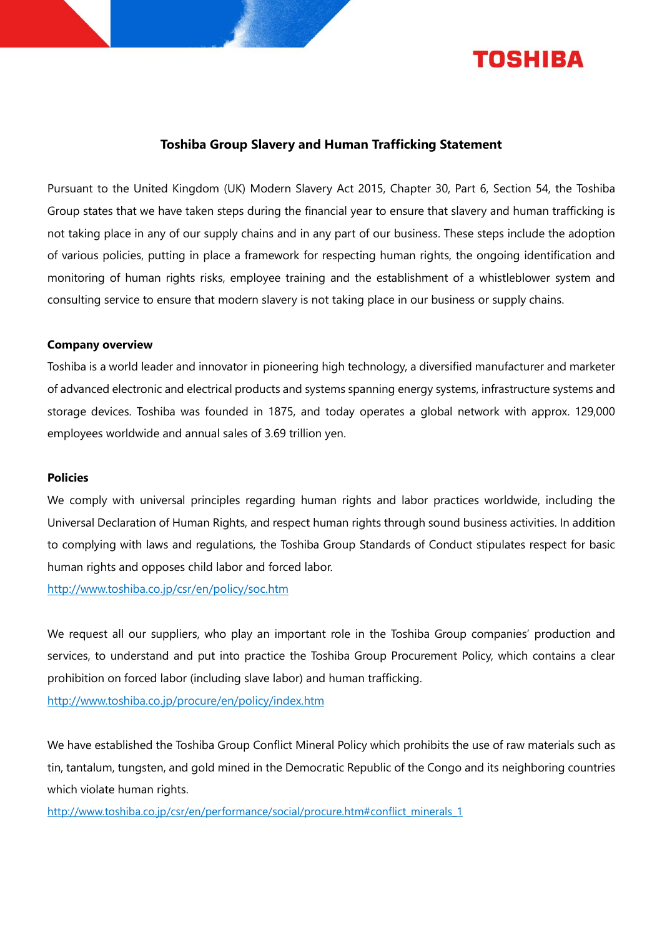

# **Toshiba Group Slavery and Human Trafficking Statement**

Pursuant to the United Kingdom (UK) Modern Slavery Act 2015, Chapter 30, Part 6, Section 54, the Toshiba Group states that we have taken steps during the financial year to ensure that slavery and human trafficking is not taking place in any of our supply chains and in any part of our business. These steps include the adoption of various policies, putting in place a framework for respecting human rights, the ongoing identification and monitoring of human rights risks, employee training and the establishment of a whistleblower system and consulting service to ensure that modern slavery is not taking place in our business or supply chains.

## **Company overview**

Toshiba is a world leader and innovator in pioneering high technology, a diversified manufacturer and marketer of advanced electronic and electrical products and systems spanning energy systems, infrastructure systems and storage devices. Toshiba was founded in 1875, and today operates a global network with approx. 129,000 employees worldwide and annual sales of 3.69 trillion yen.

#### **Policies**

We comply with universal principles regarding human rights and labor practices worldwide, including the Universal Declaration of Human Rights, and respect human rights through sound business activities. In addition to complying with laws and regulations, the Toshiba Group Standards of Conduct stipulates respect for basic human rights and opposes child labor and forced labor.

<http://www.toshiba.co.jp/csr/en/policy/soc.htm>

We request all our suppliers, who play an important role in the Toshiba Group companies' production and services, to understand and put into practice the Toshiba Group Procurement Policy, which contains a clear prohibition on forced labor (including slave labor) and human trafficking.

<http://www.toshiba.co.jp/procure/en/policy/index.htm>

We have established the Toshiba Group Conflict Mineral Policy which prohibits the use of raw materials such as tin, tantalum, tungsten, and gold mined in the Democratic Republic of the Congo and its neighboring countries which violate human rights.

[http://www.toshiba.co.jp/csr/en/performance/social/procure.htm#conflict\\_minerals\\_1](http://www.toshiba.co.jp/csr/en/performance/social/procure.htm#conflict_minerals_1)